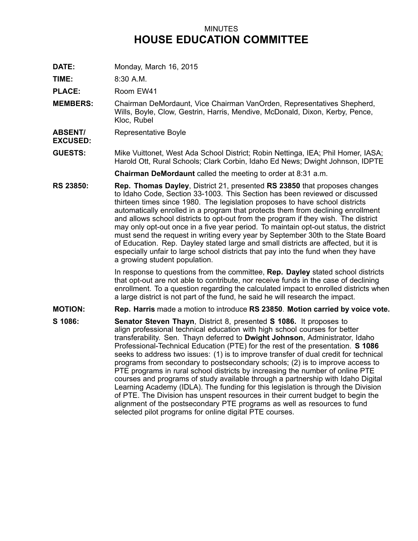## MINUTES **HOUSE EDUCATION COMMITTEE**

**DATE:** Monday, March 16, 2015

**TIME:** 8:30 A.M.

PLACE: Room EW41

- **MEMBERS:** Chairman DeMordaunt, Vice Chairman VanOrden, Representatives Shepherd, Wills, Boyle, Clow, Gestrin, Harris, Mendive, McDonald, Dixon, Kerby, Pence, Kloc, Rubel
- **ABSENT/** Representative Boyle

**EXCUSED:**

**GUESTS:** Mike Vuittonet, West Ada School District; Robin Nettinga, IEA; Phil Homer, IASA; Harold Ott, Rural Schools; Clark Corbin, Idaho Ed News; Dwight Johnson, IDPTE

**Chairman DeMordaunt** called the meeting to order at 8:31 a.m.

**RS 23850: Rep. Thomas Dayley**, District 21, presented **RS 23850** that proposes changes to Idaho Code, Section 33-1003. This Section has been reviewed or discussed thirteen times since 1980. The legislation proposes to have school districts automatically enrolled in <sup>a</sup> program that protects them from declining enrollment and allows school districts to opt-out from the program if they wish. The district may only opt-out once in <sup>a</sup> five year period. To maintain opt-out status, the district must send the request in writing every year by September 30th to the State Board of Education. Rep. Dayley stated large and small districts are affected, but it is especially unfair to large school districts that pay into the fund when they have <sup>a</sup> growing student population.

> In response to questions from the committee, **Rep. Dayley** stated school districts that opt-out are not able to contribute, nor receive funds in the case of declining enrollment. To <sup>a</sup> question regarding the calculated impact to enrolled districts when <sup>a</sup> large district is not part of the fund, he said he will research the impact.

- **MOTION: Rep. Harris** made <sup>a</sup> motion to introduce **RS 23850**. **Motion carried by voice vote.**
- **S 1086: Senator Steven Thayn**, District 8, presented **S 1086.** It proposes to align professional technical education with high school courses for better transferability. Sen. Thayn deferred to **Dwight Johnson**, Administrator, Idaho Professional-Technical Education (PTE) for the rest of the presentation. **S 1086** seeks to address two issues: (1) is to improve transfer of dual credit for technical programs from secondary to postsecondary schools; (2) is to improve access to PTE programs in rural school districts by increasing the number of online PTE courses and programs of study available through <sup>a</sup> partnership with Idaho Digital Learning Academy (IDLA). The funding for this legislation is through the Division of PTE. The Division has unspent resources in their current budget to begin the alignment of the postsecondary PTE programs as well as resources to fund selected pilot programs for online digital PTE courses.